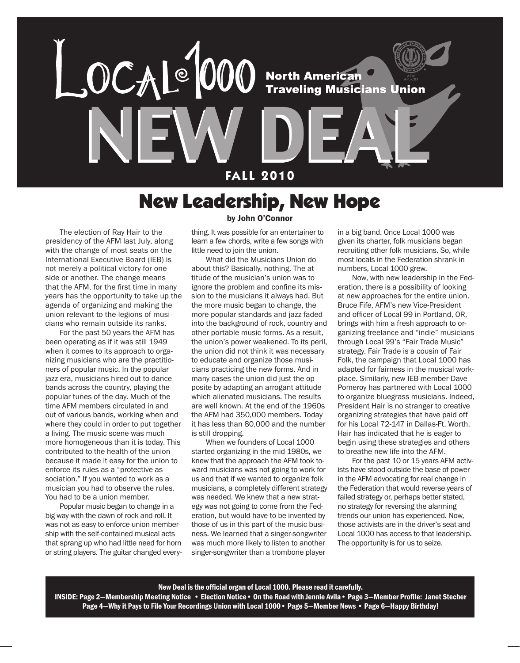

### New Leadership, New Hope

The election of Ray Hair to the presidency of the AFM last July, along with the change of most seats on the International Executive Board (IEB) is not merely a political victory for one side or another. The change means that the AFM, for the first time in many years has the opportunity to take up the agenda of organizing and making the union relevant to the legions of musicians who remain outside its ranks.

For the past 50 years the AFM has been operating as if it was still 1949 when it comes to its approach to organizing musicians who are the practitioners of popular music. In the popular jazz era, musicians hired out to dance bands across the country, playing the popular tunes of the day. Much of the time AFM members circulated in and out of various bands, working when and where they could in order to put together a living. The music scene was much more homogeneous than it is today. This contributed to the health of the union because it made it easy for the union to enforce its rules as a "protective association." If you wanted to work as a musician you had to observe the rules. You had to be a union member.

Popular music began to change in a big way with the dawn of rock and roll. It was not as easy to enforce union membership with the self-contained musical acts that sprang up who had little need for horn or string players. The guitar changed every-

### by John O'Connor

thing. It was possible for an entertainer to learn a few chords, write a few songs with little need to join the union.

What did the Musicians Union do about this? Basically, nothing. The attitude of the musician's union was to ignore the problem and confine its mission to the musicians it always had. But the more music began to change, the more popular standards and jazz faded into the background of rock, country and other portable music forms. As a result, the union's power weakened. To its peril, the union did not think it was necessary to educate and organize those musicians practicing the new forms. And in many cases the union did just the opposite by adapting an arrogant attitude which alienated musicians. The results are well known. At the end of the 1960s the AFM had 350,000 members. Today it has less than 80,000 and the number is still dropping.

When we founders of Local 1000 started organizing in the mid-1980s, we knew that the approach the AFM took toward musicians was not going to work for us and that if we wanted to organize folk musicians, a completely different strategy was needed. We knew that a new strategy was not going to come from the Federation, but would have to be invented by those of us in this part of the music business. We learned that a singer-songwriter was much more likely to listen to another singer-songwriter than a trombone player

in a big band. Once Local 1000 was given its charter, folk musicians began recruiting other folk musicians. So, while most locals in the Federation shrank in numbers, Local 1000 grew.

Now, with new leadership in the Federation, there is a possibility of looking at new approaches for the entire union. Bruce Fife, AFM's new Vice-President and officer of Local 99 in Portland, OR, brings with him a fresh approach to organizing freelance and "indie" musicians through Local 99's "Fair Trade Music" strategy. Fair Trade is a cousin of Fair Folk, the campaign that Local 1000 has adapted for fairness in the musical workplace. Similarly, new IEB member Dave Pomeroy has partnered with Local 1000 to organize bluegrass musicians. Indeed, President Hair is no stranger to creative organizing strategies that have paid off for his Local 72-147 in Dallas-Ft. Worth. Hair has indicated that he is eager to begin using these strategies and others to breathe new life into the AFM.

For the past 10 or 15 years AFM activists have stood outside the base of power in the AFM advocating for real change in the Federation that would reverse years of failed strategy or, perhaps better stated, no strategy for reversing the alarming trends our union has experienced. Now, those activists are in the driver's seat and Local 1000 has access to that leadership. The opportunity is for us to seize.

#### New Deal is the official organ of Local 1000. Please read it carefully.

INSIDE: Page 2—Membership Meeting Notice • Election Notice• On the Road with Jennie Avila• Page 3—Member Profile: Janet Stecher Page 4–Why it Pays to File Your Recordings Union with Local 1000 • Page 5–Member News • Page 6–Happy Birthday!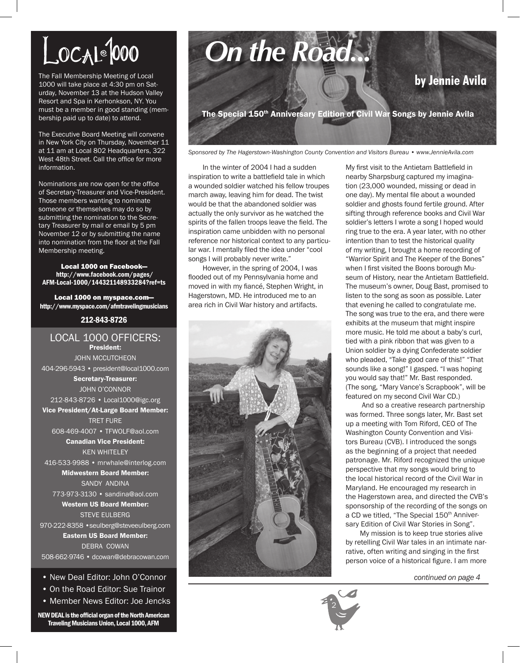# $LocA1000$

The Fall Membership Meeting of Local 1000 will take place at 4:30 pm on Saturday, November 13 at the Hudson Valley Resort and Spa in Kerhonkson, NY. You must be a member in good standing (membership paid up to date) to attend.

The Executive Board Meeting will convene in New York City on Thursday, November 11 at 11 am at Local 802 Headquarters, 322 West 48th Street. Call the office for more information.

Nominations are now open for the office of Secretary-Treasurer and Vice-President. Those members wanting to nominate someone or themselves may do so by submitting the nomination to the Secretary Treasurer by mail or email by 5 pm November 12 or by submitting the name into nomination from the floor at the Fall Membership meeting.

Local 1000 on Facebook http://www.facebook.com/pages/ AFM-Local-1000/144321148933284?ref=ts

Local 1000 on myspace.com http://www.myspace.com/afmtravelingmusicians

### 212-843-8726

LOCAL 1000 OFFICERS: President: John McCutcheon 404-296-5943 • president@local1000.com Secretary-Treasurer: John O'Connor 212-843-8726 • Local1000@igc.org Vice President/At-Large Board Member: Tret Fure 608-469-4007 • TFWOLF@aol.com Canadian Vice President: Ken Whiteley 416-533-9988 • mrwhale@interlog.com Midwestern Board Member: SANDY ANDINA 773-973-3130 • sandina@aol.com Western US Board Member: STEVE EULBERG 970-222-8358 • seulberg@steveeulberg.com Eastern US Board Member: DEBRA COWAN 508-662-9746 • dcowan@debracowan.com

• New Deal Editor: John O'Connor

- On the Road Editor: Sue Trainor
- Member News Editor: Joe Jencks

NEW DEAL is the official organ of the North American Traveling Musicians Union, Local 1000, AFM

# *On the Road...* **by Jennie Avilla**<br>**by Jennie Avila**

The Special 150<sup>th</sup> Anniversary Edition of Civil War Songs by Jennie Avila

*Sponsored by The Hagerstown-Washington County Convention and Visitors Bureau • www.JennieAvila.com*

In the winter of 2004 I had a sudden inspiration to write a battlefield tale in which a wounded soldier watched his fellow troupes march away, leaving him for dead. The twist would be that the abandoned soldier was actually the only survivor as he watched the spirits of the fallen troops leave the field. The inspiration came unbidden with no personal reference nor historical context to any particular war. I mentally filed the idea under "cool songs I will probably never write."

However, in the spring of 2004, I was flooded out of my Pennsylvania home and moved in with my fiancé, Stephen Wright, in Hagerstown, MD. He introduced me to an area rich in Civil War history and artifacts.



My first visit to the Antietam Battlefield in nearby Sharpsburg captured my imagination (23,000 wounded, missing or dead in one day). My mental file about a wounded soldier and ghosts found fertile ground. After sifting through reference books and Civil War soldier's letters I wrote a song I hoped would ring true to the era. A year later, with no other intention than to test the historical quality of my writing, I brought a home recording of "Warrior Spirit and The Keeper of the Bones" when I first visited the Boons borough Museum of History, near the Antietam Battlefield. The museum's owner, Doug Bast, promised to listen to the song as soon as possible. Later that evening he called to congratulate me. The song was true to the era, and there were exhibits at the museum that might inspire more music. He told me about a baby's curl, tied with a pink ribbon that was given to a Union soldier by a dying Confederate soldier who pleaded, "Take good care of this!" "That sounds like a song!" I gasped. "I was hoping you would say that!" Mr. Bast responded. (The song, "Mary Vance's Scrapbook", will be featured on my second Civil War CD.)

 And so a creative research partnership was formed. Three songs later, Mr. Bast set up a meeting with Tom Riford, CEO of The Washington County Convention and Visitors Bureau (CVB). I introduced the songs as the beginning of a project that needed patronage. Mr. Riford recognized the unique perspective that my songs would bring to the local historical record of the Civil War in Maryland. He encouraged my research in the Hagerstown area, and directed the CVB's sponsorship of the recording of the songs on a CD we titled, "The Special 150<sup>th</sup> Anniversary Edition of Civil War Stories in Song".

My mission is to keep true stories alive by retelling Civil War tales in an intimate narrative, often writing and singing in the first person voice of a historical figure. I am more

*continued on page 4*

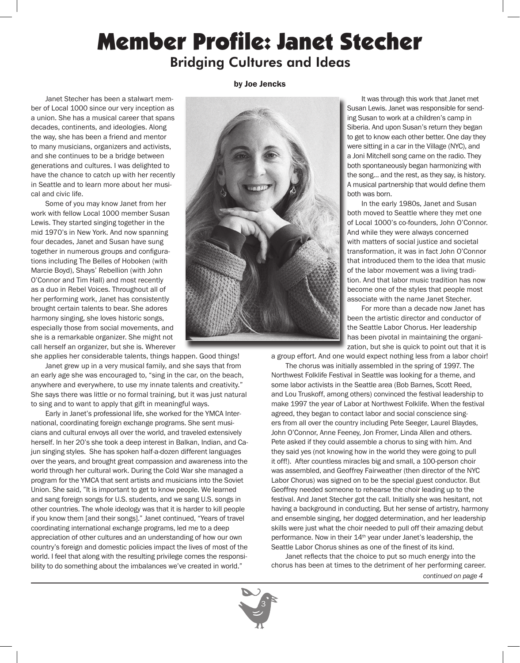### Member Profile: Janet Stecher Bridging Cultures and Ideas

Janet Stecher has been a stalwart member of Local 1000 since our very inception as a union. She has a musical career that spans decades, continents, and ideologies. Along the way, she has been a friend and mentor to many musicians, organizers and activists, and she continues to be a bridge between generations and cultures. I was delighted to have the chance to catch up with her recently in Seattle and to learn more about her musical and civic life.

Some of you may know Janet from her work with fellow Local 1000 member Susan Lewis. They started singing together in the mid 1970's in New York. And now spanning four decades, Janet and Susan have sung together in numerous groups and configurations including The Belles of Hoboken (with Marcie Boyd), Shays' Rebellion (with John O'Connor and Tim Hall) and most recently as a duo in Rebel Voices. Throughout all of her performing work, Janet has consistently brought certain talents to bear. She adores harmony singing, she loves historic songs, especially those from social movements, and she is a remarkable organizer. She might not call herself an organizer, but she is. Wherever

she applies her considerable talents, things happen. Good things! Janet grew up in a very musical family, and she says that from an early age she was encouraged to, "sing in the car, on the beach, anywhere and everywhere, to use my innate talents and creativity." She says there was little or no formal training, but it was just natural to sing and to want to apply that gift in meaningful ways.

Early in Janet's professional life, she worked for the YMCA International, coordinating foreign exchange programs. She sent musicians and cultural envoys all over the world, and traveled extensively herself. In her 20's she took a deep interest in Balkan, Indian, and Cajun singing styles. She has spoken half-a-dozen different languages over the years, and brought great compassion and awareness into the world through her cultural work. During the Cold War she managed a program for the YMCA that sent artists and musicians into the Soviet Union. She said, "It is important to get to know people. We learned and sang foreign songs for U.S. students, and we sang U.S. songs in other countries. The whole ideology was that it is harder to kill people if you know them [and their songs]." Janet continued, "Years of travel coordinating international exchange programs, led me to a deep appreciation of other cultures and an understanding of how our own country's foreign and domestic policies impact the lives of most of the world. I feel that along with the resulting privilege comes the responsibility to do something about the imbalances we've created in world."

by Joe Jencks



It was through this work that Janet met Susan Lewis. Janet was responsible for sending Susan to work at a children's camp in Siberia. And upon Susan's return they began to get to know each other better. One day they were sitting in a car in the Village (NYC), and a Joni Mitchell song came on the radio. They both spontaneously began harmonizing with the song… and the rest, as they say, is history. A musical partnership that would define them both was born.

In the early 1980s, Janet and Susan both moved to Seattle where they met one of Local 1000's co-founders, John O'Connor. And while they were always concerned with matters of social justice and societal transformation, it was in fact John O'Connor that introduced them to the idea that music of the labor movement was a living tradition. And that labor music tradition has now become one of the styles that people most associate with the name Janet Stecher.

For more than a decade now Janet has been the artistic director and conductor of the Seattle Labor Chorus. Her leadership has been pivotal in maintaining the organization, but she is quick to point out that it is

a group effort. And one would expect nothing less from a labor choir!

The chorus was initially assembled in the spring of 1997. The Northwest Folklife Festival in Seattle was looking for a theme, and some labor activists in the Seattle area (Bob Barnes, Scott Reed, and Lou Truskoff, among others) convinced the festival leadership to make 1997 the year of Labor at Northwest Folklife. When the festival agreed, they began to contact labor and social conscience singers from all over the country including Pete Seeger, Laurel Blaydes, John O'Connor, Anne Feeney, Jon Fromer, Linda Allen and others. Pete asked if they could assemble a chorus to sing with him. And they said yes (not knowing how in the world they were going to pull it off!). After countless miracles big and small, a 100-person choir was assembled, and Geoffrey Fairweather (then director of the NYC Labor Chorus) was signed on to be the special guest conductor. But Geoffrey needed someone to rehearse the choir leading up to the festival. And Janet Stecher got the call. Initially she was hesitant, not having a background in conducting. But her sense of artistry, harmony and ensemble singing, her dogged determination, and her leadership skills were just what the choir needed to pull off their amazing debut performance. Now in their 14<sup>th</sup> year under Janet's leadership, the Seattle Labor Chorus shines as one of the finest of its kind.

Janet reflects that the choice to put so much energy into the chorus has been at times to the detriment of her performing career.



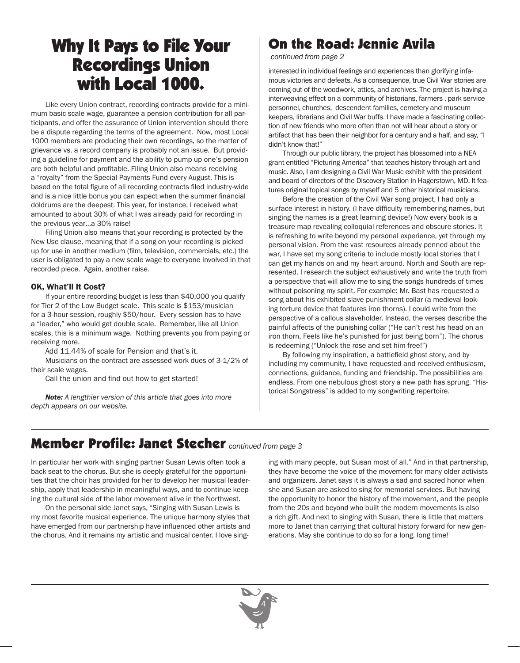## Why It Pays to File Your Recordings Union with Local 1000.

Like every Union contract, recording contracts provide for a minimum basic scale wage, guarantee a pension contribution for all participants, and offer the assurance of Union intervention should there be a dispute regarding the terms of the agreement. Now, most Local 1000 members are producing their own recordings, so the matter of grievance vs. a record company is probably not an issue. But providing a guideline for payment and the ability to pump up one's pension are both helpful and profitable. Filing Union also means receiving a "royalty" from the Special Payments Fund every August. This is based on the total figure of all recording contracts filed industry-wide and is a nice little bonus you can expect when the summer financial doldrums are the deepest. This year, for instance, I received what amounted to about 30% of what I was already paid for recording in the previous year…a 30% raise!

Filing Union also means that your recording is protected by the New Use clause, meaning that if a song on your recording is picked up for use in another medium (film, television, commercials, etc.) the user is obligated to pay a new scale wage to everyone involved in that recorded piece. Again, another raise.

### OK, What'll It Cost?

If your entire recording budget is less than \$40,000 you qualify for Tier 2 of the Low Budget scale. This scale is \$153/musician for a 3-hour session, roughly \$50/hour. Every session has to have a "leader," who would get double scale. Remember, like all Union scales, this is a minimum wage. Nothing prevents you from paying or receiving more.

Add 11.44% of scale for Pension and that's it.

Musicians on the contract are assessed work dues of 3-1/2% of their scale wages.

Call the union and find out how to get started!

*Note: A lengthier version of this article that goes into more depth appears on our website.*

### On the Road: Jennie Avila

*continued from page 2*

interested in individual feelings and experiences than glorifying infamous victories and defeats. As a consequence, true Civil War stories are coming out of the woodwork, attics, and archives. The project is having a interweaving effect on a community of historians, farmers , park service personnel, churches, descendent families, cemetery and museum keepers, librarians and Civil War buffs. I have made a fascinating collection of new friends who more often than not will hear about a story or artifact that has been their neighbor for a century and a half, and say, "I didn't know that!"

Through our public library, the project has blossomed into a NEA grant entitled "Picturing America" that teaches history through art and music. Also, I am designing a Civil War Music exhibit with the president and board of directors of the Discovery Station in Hagerstown, MD. It features original topical songs by myself and 5 other historical musicians.

Before the creation of the Civil War song project, I had only a surface interest in history. (I have difficulty remembering names, but singing the names is a great learning device!) Now every book is a treasure map revealing colloquial references and obscure stories. It is refreshing to write beyond my personal experience, yet through my personal vision. From the vast resources already penned about the war, I have set my song criteria to include mostly local stories that I can get my hands on and my heart around. North and South are represented. I research the subject exhaustively and write the truth from a perspective that will allow me to sing the songs hundreds of times without poisoning my spirit. For example: Mr. Bast has requested a song about his exhibited slave punishment collar (a medieval looking torture device that features iron thorns). I could write from the perspective of a callous slaveholder. Instead, the verses describe the painful affects of the punishing collar ("He can't rest his head on an iron thorn, Feels like he's punished for just being born"). The chorus is redeeming ("Unlock the rose and set him free!")

By following my inspiration, a battlefield ghost story, and by including my community, I have requested and received enthusiasm, connections, guidance, funding and friendship. The possibilities are endless. From one nebulous ghost story a new path has sprung. "Historical Songstress" is added to my songwriting repertoire.

### Member Profile: Janet Stecher *continued from page 3*

In particular her work with singing partner Susan Lewis often took a back seat to the chorus. But she is deeply grateful for the opportunities that the choir has provided for her to develop her musical leadership, apply that leadership in meaningful ways, and to continue keeping the cultural side of the labor movement alive in the Northwest.

On the personal side Janet says, "Singing with Susan Lewis is my most favorite musical experience. The unique harmony styles that have emerged from our partnership have influenced other artists and the chorus. And it remains my artistic and musical center. I love singing with many people, but Susan most of all." And in that partnership, they have become the voice of the movement for many older activists and organizers. Janet says it is always a sad and sacred honor when she and Susan are asked to sing for memorial services. But having the opportunity to honor the history of the movement, and the people from the 20s and beyond who built the modern movements is also a rich gift. And next to singing with Susan, there is little that matters more to Janet than carrying that cultural history forward for new generations. May she continue to do so for a long, long time!

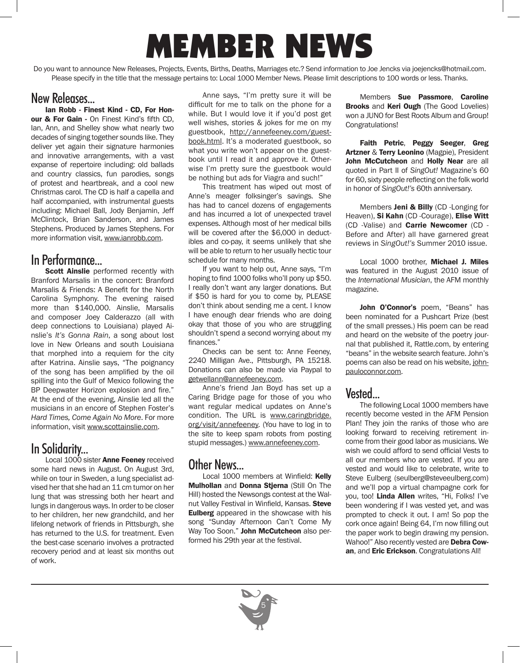# MEMBER NEWS

Do you want to announce New Releases, Projects, Events, Births, Deaths, Marriages etc.? Send information to Joe Jencks via joejencks@hotmail.com. Please specify in the title that the message pertains to: Local 1000 Member News. Please limit descriptions to 100 words or less. Thanks.

### New Releases...

Ian Robb - Finest Kind - CD, For Honour & For Gain - On Finest Kind's fifth CD, Ian, Ann, and Shelley show what nearly two decades of singing together sounds like. They deliver yet again their signature harmonies and innovative arrangements, with a vast expanse of repertoire including: old ballads and country classics, fun parodies, songs of protest and heartbreak, and a cool new Christmas carol. The CD is half a capella and half accompanied, with instrumental guests including: Michael Ball, Jody Benjamin, Jeff McClintock, Brian Sanderson, and James Stephens. Produced by James Stephens. For more information visit, www.ianrobb.com.

### In Performance...

Scott Ainslie performed recently with Branford Marsalis in the concert: Branford Marsalis & Friends: A Benefit for the North Carolina Symphony. The evening raised more than \$140,000. Ainslie, Marsalis and composer Joey Calderazzo (all with deep connections to Louisiana) played Ainslie's *It's Gonna Rain*, a song about lost love in New Orleans and south Louisiana that morphed into a requiem for the city after Katrina. Ainslie says, "The poignancy of the song has been amplified by the oil spilling into the Gulf of Mexico following the BP Deepwater Horizon explosion and fire." At the end of the evening, Ainslie led all the musicians in an encore of Stephen Foster's *Hard Times, Come Again No More*. For more information, visit www.scottainslie.com.

### In Solidarity...

Local 1000 sister **Anne Feeney** received some hard news in August. On August 3rd, while on tour in Sweden, a lung specialist advised her that she had an 11 cm tumor on her lung that was stressing both her heart and lungs in dangerous ways. In order to be closer to her children, her new grandchild, and her lifelong network of friends in Pittsburgh, she has returned to the U.S. for treatment. Even the best-case scenario involves a protracted recovery period and at least six months out of work.

Anne says, "I'm pretty sure it will be difficult for me to talk on the phone for a while. But I would love it if you'd post get well wishes, stories & jokes for me on my guestbook, http://annefeeney.com/guestbook.html. It's a moderated guestbook, so what you write won't appear on the guestbook until I read it and approve it. Otherwise I'm pretty sure the guestbook would be nothing but ads for Viagra and such!"

This treatment has wiped out most of Anne's meager folksinger's savings. She has had to cancel dozens of engagements and has incurred a lot of unexpected travel expenses. Although most of her medical bills will be covered after the \$6,000 in deductibles and co-pay, it seems unlikely that she will be able to return to her usually hectic tour schedule for many months.

If you want to help out, Anne says, "I'm hoping to find 1000 folks who'll pony up \$50. I really don't want any larger donations. But if \$50 is hard for you to come by, PLEASE don't think about sending me a cent. I know I have enough dear friends who are doing okay that those of you who are struggling shouldn't spend a second worrying about my finances."

Checks can be sent to: Anne Feeney, 2240 Milligan Ave., Pittsburgh, PA 15218. Donations can also be made via Paypal to getwellann@annefeeney.com.

Anne's friend Jan Boyd has set up a Caring Bridge page for those of you who want regular medical updates on Anne's condition. The URL is www.caringbridge. org/visit/annefeeney. (You have to log in to the site to keep spam robots from posting stupid messages.) www.annefeeney.com.

### Other News...

Local 1000 members at Winfield: Kelly Mulhollan and Donna Stjerna (Still On The Hill) hosted the Newsongs contest at the Walnut Valley Festival in Winfield, Kansas. Steve **Eulberg** appeared in the showcase with his song "Sunday Afternoon Can't Come My Way Too Soon." John McCutcheon also performed his 29th year at the festival.

Members Sue Passmore, Caroline **Brooks and Keri Ough (The Good Lovelies)** won a JUNO for Best Roots Album and Group! Congratulations!

Faith Petric, Peggy Seeger, Greg Artzner & Terry Leonino (Magpie), President John McCutcheon and Holly Near are all quoted in Part II of *SingOut!* Magazine's 60 for 60, sixty people reflecting on the folk world in honor of *SingOut!'s* 60th anniversary.

Members Jeni & Billy (CD -Longing for Heaven), Si Kahn (CD -Courage), Elise Witt (CD -Valise) and Carrie Newcomer (CD - Before and After) all have garnered great reviews in *SingOut!'s* Summer 2010 issue.

Local 1000 brother, Michael J. Miles was featured in the August 2010 issue of the *International Musician*, the AFM monthly magazine.

John O'Connor's poem. "Beans" has been nominated for a Pushcart Prize (best of the small presses.) His poem can be read and heard on the website of the poetry journal that published it, Rattle.com, by entering "beans" in the website search feature. John's poems can also be read on his website, johnpauloconnor.com.

### Vested...

The following Local 1000 members have recently become vested in the AFM Pension Plan! They join the ranks of those who are looking forward to receiving retirement income from their good labor as musicians. We wish we could afford to send official Vests to all our members who are vested. If you are vested and would like to celebrate, write to Steve Eulberg (seulberg@steveeulberg.com) and we'll pop a virtual champagne cork for you, too! Linda Allen writes, "Hi, Folks! I've been wondering if I was vested yet, and was prompted to check it out. I am! So pop the cork once again! Being 64, I'm now filling out the paper work to begin drawing my pension. Wahoo!" Also recently vested are Debra Cowan, and Eric Erickson. Congratulations All!